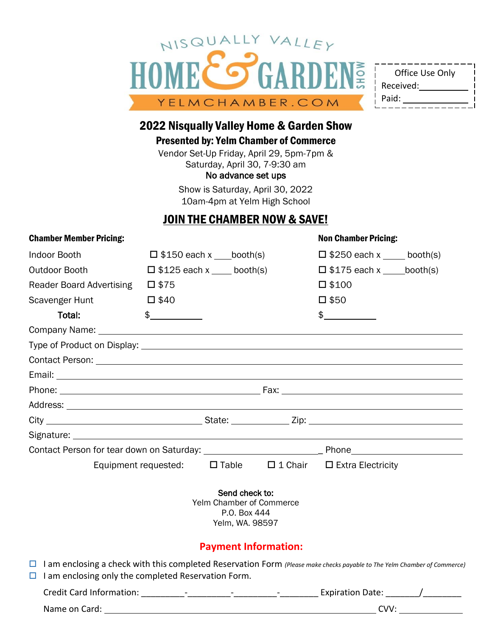

| Office Use Only |
|-----------------|
| Received:       |
| Paid:           |
|                 |

## 2022 Nisqually Valley Home & Garden Show

Presented by: Yelm Chamber of Commerce

Vendor Set-Up Friday, April 29, 5pm-7pm & Saturday, April 30, 7-9:30 am No advance set ups

> Show is Saturday, April 30, 2022 10am-4pm at Yelm High School

# JOIN THE CHAMBER NOW & SAVE!

| <b>Chamber Member Pricing:</b>                                                                                                                                                                |                |                                                                               |                                                      | <b>Non Chamber Pricing:</b>        |      |
|-----------------------------------------------------------------------------------------------------------------------------------------------------------------------------------------------|----------------|-------------------------------------------------------------------------------|------------------------------------------------------|------------------------------------|------|
| <b>Indoor Booth</b>                                                                                                                                                                           |                | $\Box$ \$150 each x booth(s)                                                  |                                                      | $\Box$ \$250 each x booth(s)       |      |
| Outdoor Booth                                                                                                                                                                                 |                | $\Box$ \$125 each x ____ booth(s)                                             |                                                      | $\Box$ \$175 each x ______booth(s) |      |
| <b>Reader Board Advertising</b>                                                                                                                                                               | $\square$ \$75 |                                                                               |                                                      | $\square$ \$100                    |      |
| Scavenger Hunt                                                                                                                                                                                | $\square$ \$40 |                                                                               |                                                      | $\square$ \$50                     |      |
| Total:                                                                                                                                                                                        | $\frac{1}{2}$  |                                                                               |                                                      | $\updownarrow$                     |      |
|                                                                                                                                                                                               |                |                                                                               |                                                      |                                    |      |
|                                                                                                                                                                                               |                |                                                                               |                                                      |                                    |      |
| Contact Person: <u>Contact Person:</u> Contact Person: 2001                                                                                                                                   |                |                                                                               |                                                      |                                    |      |
|                                                                                                                                                                                               |                |                                                                               |                                                      |                                    |      |
|                                                                                                                                                                                               |                |                                                                               |                                                      |                                    |      |
|                                                                                                                                                                                               |                |                                                                               |                                                      |                                    |      |
|                                                                                                                                                                                               |                |                                                                               |                                                      |                                    |      |
|                                                                                                                                                                                               |                |                                                                               |                                                      |                                    |      |
| Contact Person for tear down on Saturday: ___________________________________Phone____________________________                                                                                |                |                                                                               |                                                      |                                    |      |
| Equipment requested:                                                                                                                                                                          |                |                                                                               | $\Box$ Table $\Box$ 1 Chair $\Box$ Extra Electricity |                                    |      |
|                                                                                                                                                                                               |                | Send check to:<br>Yelm Chamber of Commerce<br>P.O. Box 444<br>Yelm, WA. 98597 |                                                      |                                    |      |
|                                                                                                                                                                                               |                | <b>Payment Information:</b>                                                   |                                                      |                                    |      |
| $\Box$ I am enclosing a check with this completed Reservation Form (Please make checks payable to The Yelm Chamber of Commerce)<br>$\Box$ I am enclosing only the completed Reservation Form. |                |                                                                               |                                                      |                                    |      |
|                                                                                                                                                                                               |                |                                                                               |                                                      |                                    |      |
| Name on Card:                                                                                                                                                                                 |                |                                                                               |                                                      |                                    | CVV: |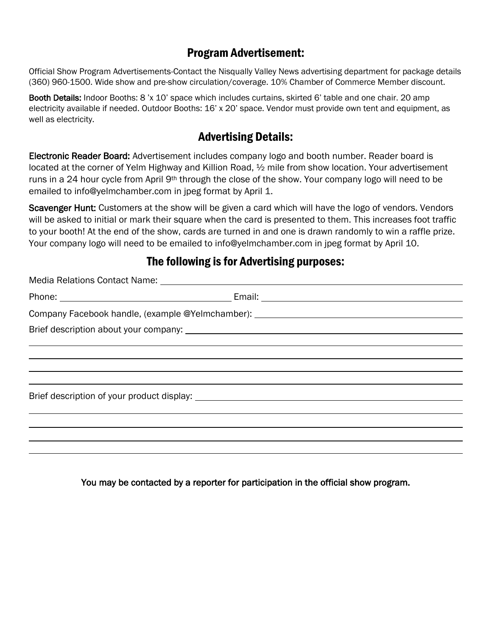### Program Advertisement:

Official Show Program Advertisements-Contact the Nisqually Valley News advertising department for package details (360) 960-1500. Wide show and pre-show circulation/coverage. 10% Chamber of Commerce Member discount.

Booth Details: Indoor Booths: 8 'x 10' space which includes curtains, skirted 6' table and one chair. 20 amp electricity available if needed. Outdoor Booths: 16' x 20' space. Vendor must provide own tent and equipment, as well as electricity.

## Advertising Details:

Electronic Reader Board: Advertisement includes company logo and booth number. Reader board is located at the corner of Yelm Highway and Killion Road, ½ mile from show location. Your advertisement runs in a 24 hour cycle from April 9<sup>th</sup> through the close of the show. Your company logo will need to be emailed to [info@yelmchamber.com](mailto:info@yelmchamber.com) in jpeg format by April 1.

Scavenger Hunt: Customers at the show will be given a card which will have the logo of vendors. Vendors will be asked to initial or mark their square when the card is presented to them. This increases foot traffic to your booth! At the end of the show, cards are turned in and one is drawn randomly to win a raffle prize. Your company logo will need to be emailed to [info@yelmchamber.com](mailto:info@yelmchamber.com) in jpeg format by April 10.

### The following is for Advertising purposes:

| Company Facebook handle, (example @Yelmchamber): _______________________________ |  |  |
|----------------------------------------------------------------------------------|--|--|
|                                                                                  |  |  |
|                                                                                  |  |  |
|                                                                                  |  |  |
|                                                                                  |  |  |
|                                                                                  |  |  |
|                                                                                  |  |  |
|                                                                                  |  |  |
|                                                                                  |  |  |
|                                                                                  |  |  |
|                                                                                  |  |  |

You may be contacted by a reporter for participation in the official show program.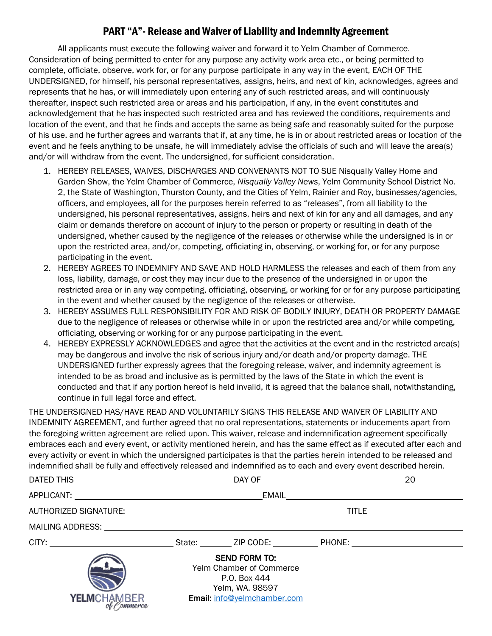#### PART "A"- Release and Waiver of Liability and Indemnity Agreement

All applicants must execute the following waiver and forward it to Yelm Chamber of Commerce. Consideration of being permitted to enter for any purpose any activity work area etc., or being permitted to complete, officiate, observe, work for, or for any purpose participate in any way in the event, EACH OF THE UNDERSIGNED, for himself, his personal representatives, assigns, heirs, and next of kin, acknowledges, agrees and represents that he has, or will immediately upon entering any of such restricted areas, and will continuously thereafter, inspect such restricted area or areas and his participation, if any, in the event constitutes and acknowledgement that he has inspected such restricted area and has reviewed the conditions, requirements and location of the event, and that he finds and accepts the same as being safe and reasonably suited for the purpose of his use, and he further agrees and warrants that if, at any time, he is in or about restricted areas or location of the event and he feels anything to be unsafe, he will immediately advise the officials of such and will leave the area(s) and/or will withdraw from the event. The undersigned, for sufficient consideration.

- 1. HEREBY RELEASES, WAIVES, DISCHARGES AND CONVENANTS NOT TO SUE Nisqually Valley Home and Garden Show, the Yelm Chamber of Commerce, *Nisqually Valley News*, Yelm Community School District No. 2, the State of Washington, Thurston County, and the Cities of Yelm, Rainier and Roy, businesses/agencies, officers, and employees, all for the purposes herein referred to as "releases", from all liability to the undersigned, his personal representatives, assigns, heirs and next of kin for any and all damages, and any claim or demands therefore on account of injury to the person or property or resulting in death of the undersigned, whether caused by the negligence of the releases or otherwise while the undersigned is in or upon the restricted area, and/or, competing, officiating in, observing, or working for, or for any purpose participating in the event.
- 2. HEREBY AGREES TO INDEMNIFY AND SAVE AND HOLD HARMLESS the releases and each of them from any loss, liability, damage, or cost they may incur due to the presence of the undersigned in or upon the restricted area or in any way competing, officiating, observing, or working for or for any purpose participating in the event and whether caused by the negligence of the releases or otherwise.
- 3. HEREBY ASSUMES FULL RESPONSIBILITY FOR AND RISK OF BODILY INJURY, DEATH OR PROPERTY DAMAGE due to the negligence of releases or otherwise while in or upon the restricted area and/or while competing, officiating, observing or working for or any purpose participating in the event.
- 4. HEREBY EXPRESSLY ACKNOWLEDGES and agree that the activities at the event and in the restricted area(s) may be dangerous and involve the risk of serious injury and/or death and/or property damage. THE UNDERSIGNED further expressly agrees that the foregoing release, waiver, and indemnity agreement is intended to be as broad and inclusive as is permitted by the laws of the State in which the event is conducted and that if any portion hereof is held invalid, it is agreed that the balance shall, notwithstanding, continue in full legal force and effect.

THE UNDERSIGNED HAS/HAVE READ AND VOLUNTARILY SIGNS THIS RELEASE AND WAIVER OF LIABILITY AND INDEMNITY AGREEMENT, and further agreed that no oral representations, statements or inducements apart from the foregoing written agreement are relied upon. This waiver, release and indemnification agreement specifically embraces each and every event, or activity mentioned herein, and has the same effect as if executed after each and every activity or event in which the undersigned participates is that the parties herein intended to be released and indemnified shall be fully and effectively released and indemnified as to each and every event described herein.

|                                                                                                                                                                                                                                |                                                                                                                           |  |  | 20 |  |  |
|--------------------------------------------------------------------------------------------------------------------------------------------------------------------------------------------------------------------------------|---------------------------------------------------------------------------------------------------------------------------|--|--|----|--|--|
| APPLICANT: New York State State State State State State State State State State State State State State State State State State State State State State State State State State State State State State State State State Stat |                                                                                                                           |  |  |    |  |  |
|                                                                                                                                                                                                                                | AUTHORIZED SIGNATURE: THE RESERVED OF TITLE TITLE                                                                         |  |  |    |  |  |
|                                                                                                                                                                                                                                |                                                                                                                           |  |  |    |  |  |
|                                                                                                                                                                                                                                |                                                                                                                           |  |  |    |  |  |
| <b>YELM</b> CHAMBER<br>of <i>Commerce</i>                                                                                                                                                                                      | <b>SEND FORM TO:</b><br><b>Yelm Chamber of Commerce</b><br>P.O. Box 444<br>Yelm, WA. 98597<br>Email: info@yelmchamber.com |  |  |    |  |  |